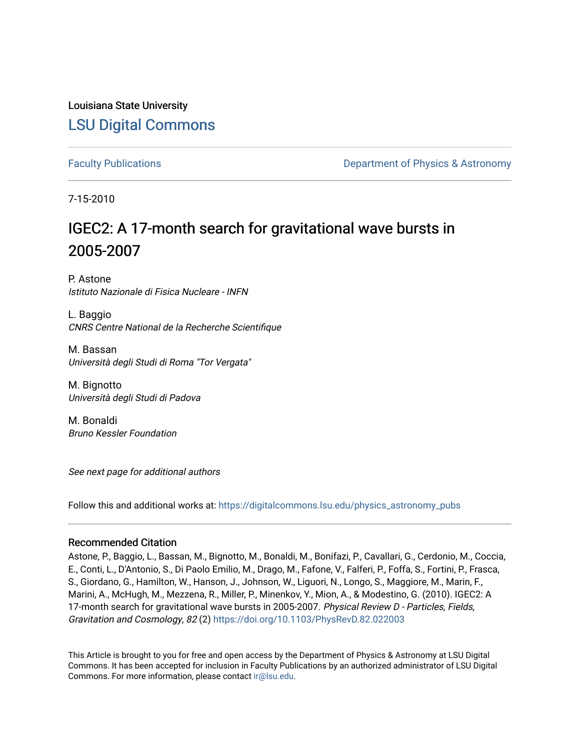Louisiana State University [LSU Digital Commons](https://digitalcommons.lsu.edu/)

[Faculty Publications](https://digitalcommons.lsu.edu/physics_astronomy_pubs) **Example 2** Constant Department of Physics & Astronomy

7-15-2010

# IGEC2: A 17-month search for gravitational wave bursts in 2005-2007

P. Astone Istituto Nazionale di Fisica Nucleare - INFN

L. Baggio CNRS Centre National de la Recherche Scientifique

M. Bassan Università degli Studi di Roma "Tor Vergata"

M. Bignotto Università degli Studi di Padova

M. Bonaldi Bruno Kessler Foundation

See next page for additional authors

Follow this and additional works at: [https://digitalcommons.lsu.edu/physics\\_astronomy\\_pubs](https://digitalcommons.lsu.edu/physics_astronomy_pubs?utm_source=digitalcommons.lsu.edu%2Fphysics_astronomy_pubs%2F2275&utm_medium=PDF&utm_campaign=PDFCoverPages) 

# Recommended Citation

Astone, P., Baggio, L., Bassan, M., Bignotto, M., Bonaldi, M., Bonifazi, P., Cavallari, G., Cerdonio, M., Coccia, E., Conti, L., D'Antonio, S., Di Paolo Emilio, M., Drago, M., Fafone, V., Falferi, P., Foffa, S., Fortini, P., Frasca, S., Giordano, G., Hamilton, W., Hanson, J., Johnson, W., Liguori, N., Longo, S., Maggiore, M., Marin, F., Marini, A., McHugh, M., Mezzena, R., Miller, P., Minenkov, Y., Mion, A., & Modestino, G. (2010). IGEC2: A 17-month search for gravitational wave bursts in 2005-2007. Physical Review D - Particles, Fields, Gravitation and Cosmology, 82 (2)<https://doi.org/10.1103/PhysRevD.82.022003>

This Article is brought to you for free and open access by the Department of Physics & Astronomy at LSU Digital Commons. It has been accepted for inclusion in Faculty Publications by an authorized administrator of LSU Digital Commons. For more information, please contact [ir@lsu.edu](mailto:ir@lsu.edu).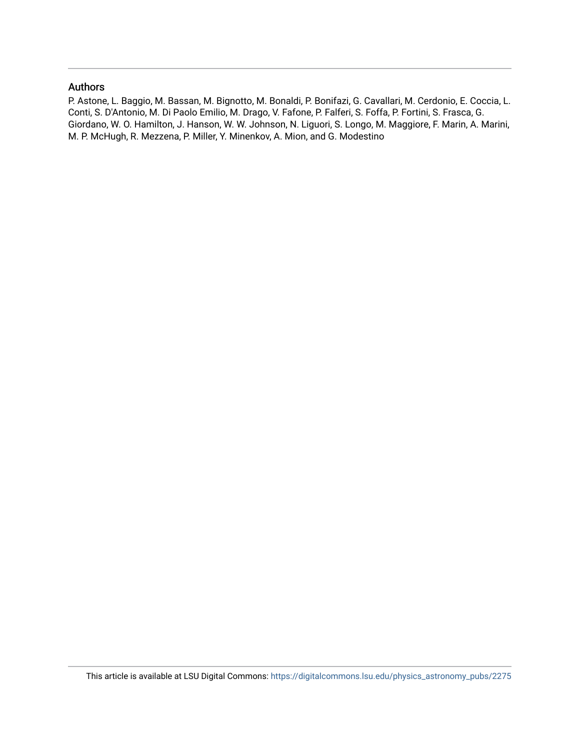# Authors

P. Astone, L. Baggio, M. Bassan, M. Bignotto, M. Bonaldi, P. Bonifazi, G. Cavallari, M. Cerdonio, E. Coccia, L. Conti, S. D'Antonio, M. Di Paolo Emilio, M. Drago, V. Fafone, P. Falferi, S. Foffa, P. Fortini, S. Frasca, G. Giordano, W. O. Hamilton, J. Hanson, W. W. Johnson, N. Liguori, S. Longo, M. Maggiore, F. Marin, A. Marini, M. P. McHugh, R. Mezzena, P. Miller, Y. Minenkov, A. Mion, and G. Modestino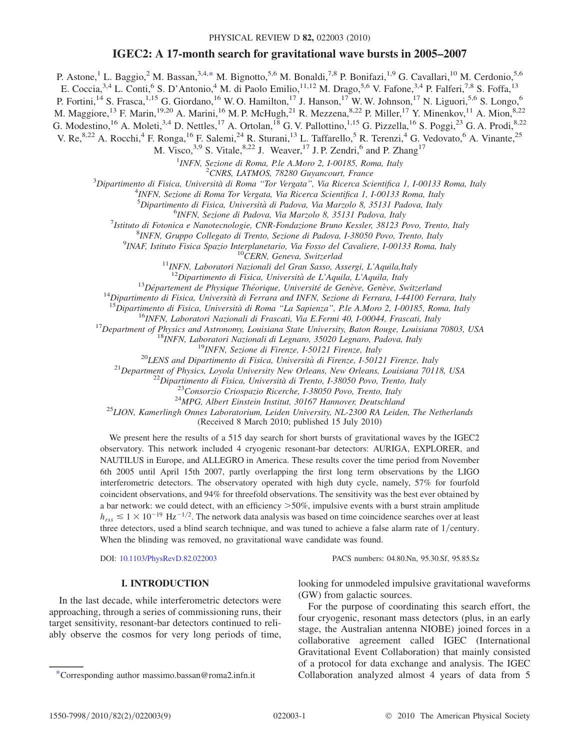# IGEC2: A 17-month search for gravitational wave bursts in 2005–2007

<span id="page-2-1"></span>P. Astone,<sup>1</sup> L. Baggio,<sup>2</sup> M. Bassan,<sup>3,4[,\\*](#page-2-0)</sup> M. Bignotto,<sup>5,6</sup> M. Bonaldi,<sup>7,8</sup> P. Bonifazi,<sup>1,9</sup> G. Cavallari,<sup>10</sup> M. Cerdonio,<sup>5,6</sup>

E. Coccia,<sup>3,4</sup> L. Conti,<sup>6</sup> S. D'Antonio,<sup>4</sup> M. di Paolo Emilio,<sup>11,12</sup> M. Drago,<sup>5,6</sup> V. Fafone,<sup>3,4</sup> P. Falferi,<sup>7,8</sup> S. Foffa,<sup>13</sup>

P. Fortini,<sup>14</sup> S. Frasca,<sup>1,15</sup> G. Giordano,<sup>16</sup> W. O. Hamilton,<sup>17</sup> J. Hanson,<sup>17</sup> W. W. Johnson,<sup>17</sup> N. Liguori,<sup>5,6</sup> S. Longo,<sup>6</sup>

M. Maggiore,<sup>13</sup> F. Marin,<sup>19,20</sup> A. Marini,<sup>16</sup> M. P. McHugh,<sup>21</sup> R. Mezzena,<sup>8,22</sup> P. Miller,<sup>17</sup> Y. Minenkov,<sup>11</sup> A. Mion,<sup>8,22</sup>

G. Modestino, <sup>16</sup> A. Moleti, <sup>3,4</sup> D. Nettles, <sup>17</sup> A. Ortolan, <sup>18</sup> G. V. Pallottino, <sup>1,15</sup> G. Pizzella, <sup>16</sup> S. Poggi, <sup>23</sup> G. A. Prodi, <sup>8,22</sup>

V. Re,  $8,22$  A. Rocchi,  $4$  F. Ronga,  $^{16}$  F. Salemi,  $^{24}$  R. Sturani,  $^{13}$  L. Taffarello,  $^{5}$  R. Terenzi,  $^{4}$  G. Vedovato,  $^{6}$  A. Vinante,  $^{25}$ 

M. Visco,  $3.9$  S. Vitale,  $8.22$  J. Weaver,  $^{17}$  J. P. Zendri,  $^{6}$  and P. Zhang<sup>17</sup>

<sup>1</sup>INFN, Sezione di Roma, P.le A.Moro 2, I-00185, Roma, Italy<br><sup>2</sup>CNPS, LATMOS, 78280 Guyancourt, France

<sup>2</sup>CNRS, LATMOS, 78280 Guyancourt, France<br><sup>3</sup>Dinartimento di Eisica, Università di Poma "Tor Veragta", Via Picarca Sci

Dipartimento di Fisica, Università di Roma "Tor Vergata", Via Ricerca Scientifica 1, I-00133 Roma, Italy 4 AMEN Sezione di Poma Tor Vergata Via Bicerca Scientifica 1, I-00133 Poma Italy

<sup>4</sup>INFN, Sezione di Roma Tor Vergata, Via Ricerca Scientifica 1, I-00133 Roma, Italy

<sup>5</sup>Dipartimento di Fisica, Università di Padova, Via Marzolo 8, 35131 Padova, Italy 61NEN, Sazione di Padova, Via Marzolo 8, 35131 Padova, Italy

 $6$ INFN, Sezione di Padova, Via Marzolo 8, 35131 Padova, Italy

<sup>7</sup>Istituto di Fotonica e Nanotecnologie, CNR-Fondazione Bruno Kessler, 38123 Povo, Trento, Italy

<sup>8</sup>INFN, Gruppo Collegato di Trento, Sezione di Padova, I-38050 Povo, Trento, Italy 9INAF, Istituto Fisica Spazio Interplanetario, Via Fosso del Cavaliere, I-00133 Roma, Italy

 $^{10}$ CERN, Geneva, Switzerlad<br><sup>11</sup>INFN, Laboratori Nazionali del Gran Sasso, Assergi, L'Aquila,Italy

<sup>12</sup>Dipartimento di Fisica, Università de L'Aquila, L'Aquila, Italy<br><sup>13</sup>Département de Physique Théorique, Université de Genève, Genève, Switzerland<br><sup>14</sup>Dipartimento di Fisica, Università di Ferrara and INFN, Sezione di F

(Received 8 March 2010; published 15 July 2010)

We present here the results of a 515 day search for short bursts of gravitational waves by the IGEC2 observatory. This network included 4 cryogenic resonant-bar detectors: AURIGA, EXPLORER, and NAUTILUS in Europe, and ALLEGRO in America. These results cover the time period from November 6th 2005 until April 15th 2007, partly overlapping the first long term observations by the LIGO interferometric detectors. The observatory operated with high duty cycle, namely, 57% for fourfold coincident observations, and 94% for threefold observations. The sensitivity was the best ever obtained by a bar network: we could detect, with an efficiency >50%, impulsive events with a burst strain amplitude  $h_{rss} \lesssim 1 \times 10^{-19}$  Hz<sup>-1/2</sup>. The network data analysis was based on time coincidence searches over at least three detectors, used a blind search technique, and was tuned to achieve a false alarm rate of  $1/c$ entury. When the blinding was removed, no gravitational wave candidate was found.

DOI: [10.1103/PhysRevD.82.022003](http://dx.doi.org/10.1103/PhysRevD.82.022003) PACS numbers: 04.80.Nn, 95.30.Sf, 95.85.Sz

### I. INTRODUCTION

In the last decade, while interferometric detectors were approaching, through a series of commissioning runs, their target sensitivity, resonant-bar detectors continued to reliably observe the cosmos for very long periods of time,

<span id="page-2-0"></span>

looking for unmodeled impulsive gravitational waveforms (GW) from galactic sources.

For the purpose of coordinating this search effort, the four cryogenic, resonant mass detectors (plus, in an early stage, the Australian antenna NIOBE) joined forces in a collaborative agreement called IGEC (International Gravitational Event Collaboration) that mainly consisted of a protocol for data exchange and analysis. The IGEC [\\*C](#page-2-1)orresponding author massimo.bassan@roma2.infn.it Collaboration analyzed almost 4 years of data from 5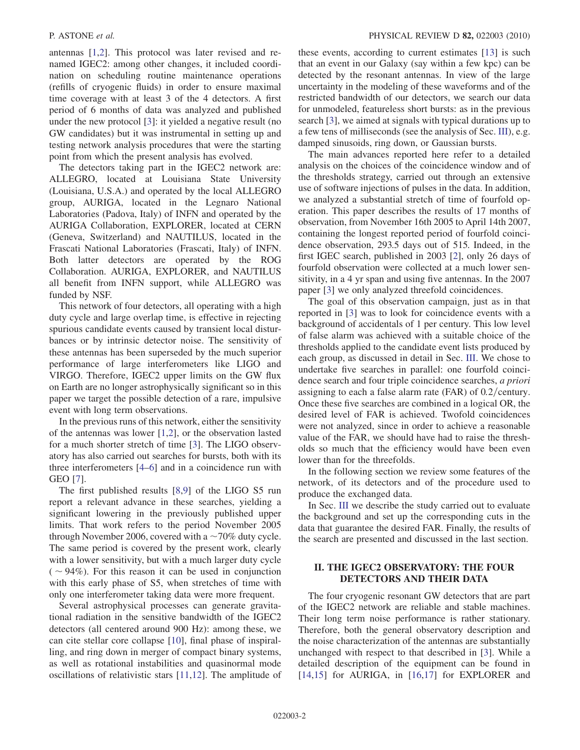antennas [\[1](#page-10-0)[,2](#page-10-1)]. This protocol was later revised and renamed IGEC2: among other changes, it included coordination on scheduling routine maintenance operations (refills of cryogenic fluids) in order to ensure maximal time coverage with at least 3 of the 4 detectors. A first period of 6 months of data was analyzed and published under the new protocol [\[3](#page-10-2)]: it yielded a negative result (no GW candidates) but it was instrumental in setting up and testing network analysis procedures that were the starting point from which the present analysis has evolved.

The detectors taking part in the IGEC2 network are: ALLEGRO, located at Louisiana State University (Louisiana, U.S.A.) and operated by the local ALLEGRO group, AURIGA, located in the Legnaro National Laboratories (Padova, Italy) of INFN and operated by the AURIGA Collaboration, EXPLORER, located at CERN (Geneva, Switzerland) and NAUTILUS, located in the Frascati National Laboratories (Frascati, Italy) of INFN. Both latter detectors are operated by the ROG Collaboration. AURIGA, EXPLORER, and NAUTILUS all benefit from INFN support, while ALLEGRO was funded by NSF.

This network of four detectors, all operating with a high duty cycle and large overlap time, is effective in rejecting spurious candidate events caused by transient local disturbances or by intrinsic detector noise. The sensitivity of these antennas has been superseded by the much superior performance of large interferometers like LIGO and VIRGO. Therefore, IGEC2 upper limits on the GW flux on Earth are no longer astrophysically significant so in this paper we target the possible detection of a rare, impulsive event with long term observations.

In the previous runs of this network, either the sensitivity of the antennas was lower [[1](#page-10-0),[2](#page-10-1)], or the observation lasted for a much shorter stretch of time [\[3](#page-10-2)]. The LIGO observatory has also carried out searches for bursts, both with its three interferometers [\[4](#page-10-3)–[6\]](#page-10-4) and in a coincidence run with GEO [[7](#page-10-5)].

The first published results [\[8,](#page-10-6)[9](#page-10-7)] of the LIGO S5 run report a relevant advance in these searches, yielding a significant lowering in the previously published upper limits. That work refers to the period November 2005 through November 2006, covered with a  $\sim$  70% duty cycle. The same period is covered by the present work, clearly with a lower sensitivity, but with a much larger duty cycle  $(-94%)$ . For this reason it can be used in conjunction with this early phase of S5, when stretches of time with only one interferometer taking data were more frequent.

Several astrophysical processes can generate gravitational radiation in the sensitive bandwidth of the IGEC2 detectors (all centered around 900 Hz): among these, we can cite stellar core collapse [[10](#page-10-8)], final phase of inspiralling, and ring down in merger of compact binary systems, as well as rotational instabilities and quasinormal mode oscillations of relativistic stars [[11](#page-10-9),[12](#page-10-10)]. The amplitude of these events, according to current estimates [[13](#page-10-11)] is such that an event in our Galaxy (say within a few kpc) can be detected by the resonant antennas. In view of the large uncertainty in the modeling of these waveforms and of the restricted bandwidth of our detectors, we search our data for unmodeled, featureless short bursts: as in the previous search [[3\]](#page-10-2), we aimed at signals with typical durations up to a few tens of milliseconds (see the analysis of Sec. III), e.g. damped sinusoids, ring down, or Gaussian bursts.

The main advances reported here refer to a detailed analysis on the choices of the coincidence window and of the thresholds strategy, carried out through an extensive use of software injections of pulses in the data. In addition, we analyzed a substantial stretch of time of fourfold operation. This paper describes the results of 17 months of observation, from November 16th 2005 to April 14th 2007, containing the longest reported period of fourfold coincidence observation, 293.5 days out of 515. Indeed, in the first IGEC search, published in 2003 [\[2\]](#page-10-1), only 26 days of fourfold observation were collected at a much lower sensitivity, in a 4 yr span and using five antennas. In the 2007 paper [[3](#page-10-2)] we only analyzed threefold coincidences.

The goal of this observation campaign, just as in that reported in [[3\]](#page-10-2) was to look for coincidence events with a background of accidentals of 1 per century. This low level of false alarm was achieved with a suitable choice of the thresholds applied to the candidate event lists produced by each group, as discussed in detail in Sec. III. We chose to undertake five searches in parallel: one fourfold coincidence search and four triple coincidence searches, a priori assigning to each a false alarm rate (FAR) of  $0.2$ /century. Once these five searches are combined in a logical OR, the desired level of FAR is achieved. Twofold coincidences were not analyzed, since in order to achieve a reasonable value of the FAR, we should have had to raise the thresholds so much that the efficiency would have been even lower than for the threefolds.

In the following section we review some features of the network, of its detectors and of the procedure used to produce the exchanged data.

In Sec. III we describe the study carried out to evaluate the background and set up the corresponding cuts in the data that guarantee the desired FAR. Finally, the results of the search are presented and discussed in the last section.

## II. THE IGEC2 OBSERVATORY: THE FOUR DETECTORS AND THEIR DATA

The four cryogenic resonant GW detectors that are part of the IGEC2 network are reliable and stable machines. Their long term noise performance is rather stationary. Therefore, both the general observatory description and the noise characterization of the antennas are substantially unchanged with respect to that described in [[3](#page-10-2)]. While a detailed description of the equipment can be found in [\[14](#page-10-12)[,15\]](#page-10-13) for AURIGA, in [[16](#page-10-14),[17](#page-10-15)] for EXPLORER and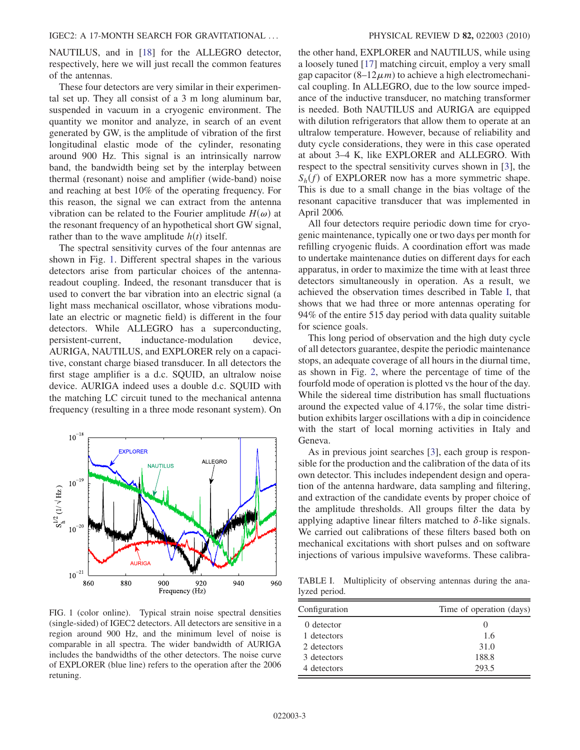NAUTILUS, and in [\[18\]](#page-10-16) for the ALLEGRO detector, respectively, here we will just recall the common features of the antennas.

These four detectors are very similar in their experimental set up. They all consist of a 3 m long aluminum bar, suspended in vacuum in a cryogenic environment. The quantity we monitor and analyze, in search of an event generated by GW, is the amplitude of vibration of the first longitudinal elastic mode of the cylinder, resonating around 900 Hz. This signal is an intrinsically narrow band, the bandwidth being set by the interplay between thermal (resonant) noise and amplifier (wide-band) noise and reaching at best 10% of the operating frequency. For this reason, the signal we can extract from the antenna vibration can be related to the Fourier amplitude  $H(\omega)$  at the resonant frequency of an hypothetical short GW signal, rather than to the wave amplitude  $h(t)$  itself.

The spectral sensitivity curves of the four antennas are shown in Fig. [1.](#page-4-0) Different spectral shapes in the various detectors arise from particular choices of the antennareadout coupling. Indeed, the resonant transducer that is used to convert the bar vibration into an electric signal (a light mass mechanical oscillator, whose vibrations modulate an electric or magnetic field) is different in the four detectors. While ALLEGRO has a superconducting, persistent-current, inductance-modulation device, AURIGA, NAUTILUS, and EXPLORER rely on a capacitive, constant charge biased transducer. In all detectors the first stage amplifier is a d.c. SQUID, an ultralow noise device. AURIGA indeed uses a double d.c. SQUID with the matching LC circuit tuned to the mechanical antenna frequency (resulting in a three mode resonant system). On

<span id="page-4-0"></span>

FIG. 1 (color online). Typical strain noise spectral densities (single-sided) of IGEC2 detectors. All detectors are sensitive in a region around 900 Hz, and the minimum level of noise is comparable in all spectra. The wider bandwidth of AURIGA includes the bandwidths of the other detectors. The noise curve of EXPLORER (blue line) refers to the operation after the 2006 retuning.

the other hand, EXPLORER and NAUTILUS, while using a loosely tuned [[17\]](#page-10-15) matching circuit, employ a very small gap capacitor  $(8-12\mu m)$  to achieve a high electromechanical coupling. In ALLEGRO, due to the low source impedance of the inductive transducer, no matching transformer is needed. Both NAUTILUS and AURIGA are equipped with dilution refrigerators that allow them to operate at an ultralow temperature. However, because of reliability and duty cycle considerations, they were in this case operated at about 3–4 K, like EXPLORER and ALLEGRO. With respect to the spectral sensitivity curves shown in [[3\]](#page-10-2), the  $S_h(f)$  of EXPLORER now has a more symmetric shape. This is due to a small change in the bias voltage of the resonant capacitive transducer that was implemented in April 2006.

All four detectors require periodic down time for cryogenic maintenance, typically one or two days per month for refilling cryogenic fluids. A coordination effort was made to undertake maintenance duties on different days for each apparatus, in order to maximize the time with at least three detectors simultaneously in operation. As a result, we achieved the observation times described in Table [I,](#page-4-1) that shows that we had three or more antennas operating for 94% of the entire 515 day period with data quality suitable for science goals.

This long period of observation and the high duty cycle of all detectors guarantee, despite the periodic maintenance stops, an adequate coverage of all hours in the diurnal time, as shown in Fig. [2,](#page-5-0) where the percentage of time of the fourfold mode of operation is plotted vs the hour of the day. While the sidereal time distribution has small fluctuations around the expected value of 4.17%, the solar time distribution exhibits larger oscillations with a dip in coincidence with the start of local morning activities in Italy and Geneva.

As in previous joint searches [[3\]](#page-10-2), each group is responsible for the production and the calibration of the data of its own detector. This includes independent design and operation of the antenna hardware, data sampling and filtering, and extraction of the candidate events by proper choice of the amplitude thresholds. All groups filter the data by applying adaptive linear filters matched to  $\delta$ -like signals. We carried out calibrations of these filters based both on mechanical excitations with short pulses and on software injections of various impulsive waveforms. These calibra-

<span id="page-4-1"></span>TABLE I. Multiplicity of observing antennas during the analyzed period.

| Configuration | Time of operation (days) |
|---------------|--------------------------|
| 0 detector    |                          |
| 1 detectors   | 1.6                      |
| 2 detectors   | 31.0                     |
| 3 detectors   | 188.8                    |
| 4 detectors   | 293.5                    |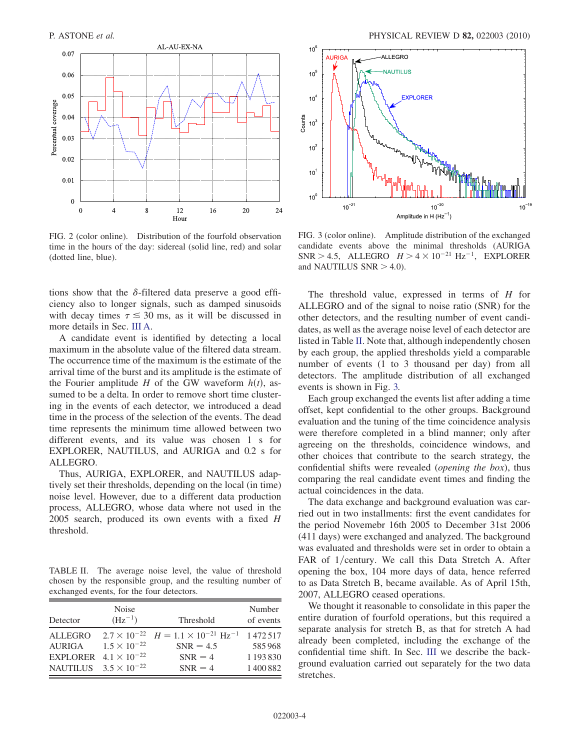<span id="page-5-0"></span>

FIG. 2 (color online). Distribution of the fourfold observation time in the hours of the day: sidereal (solid line, red) and solar (dotted line, blue).

tions show that the  $\delta$ -filtered data preserve a good efficiency also to longer signals, such as damped sinusoids with decay times  $\tau \leq 30$  ms, as it will be discussed in more details in Sec. III A.

A candidate event is identified by detecting a local maximum in the absolute value of the filtered data stream. The occurrence time of the maximum is the estimate of the arrival time of the burst and its amplitude is the estimate of the Fourier amplitude H of the GW waveform  $h(t)$ , assumed to be a delta. In order to remove short time clustering in the events of each detector, we introduced a dead time in the process of the selection of the events. The dead time represents the minimum time allowed between two different events, and its value was chosen 1 s for EXPLORER, NAUTILUS, and AURIGA and 0.2 s for ALLEGRO.

Thus, AURIGA, EXPLORER, and NAUTILUS adaptively set their thresholds, depending on the local (in time) noise level. However, due to a different data production process, ALLEGRO, whose data where not used in the 2005 search, produced its own events with a fixed  $H$ threshold.

<span id="page-5-1"></span>TABLE II. The average noise level, the value of threshold chosen by the responsible group, and the resulting number of exchanged events, for the four detectors.

| Detector                        | Noise<br>$(Hz^{-1})$  | Threshold                                                                       | Number<br>of events |
|---------------------------------|-----------------------|---------------------------------------------------------------------------------|---------------------|
| <b>ALLEGRO</b><br><b>AURIGA</b> | $1.5 \times 10^{-22}$ | $2.7 \times 10^{-22}$ $H = 1.1 \times 10^{-21}$ Hz <sup>-1</sup><br>$SNR = 4.5$ | 1472.517<br>585968  |
| <b>EXPLORER</b>                 | $4.1 \times 10^{-22}$ | $SNR = 4$                                                                       | 1 193 830           |
| NAUTILUS $3.5 \times 10^{-22}$  |                       | $SNR = 4$                                                                       | 1400882             |

<span id="page-5-2"></span>

FIG. 3 (color online). Amplitude distribution of the exchanged candidate events above the minimal thresholds (AURIGA SNR > 4.5, ALLEGRO  $H > 4 \times 10^{-21}$  Hz<sup>-1</sup>, EXPLORER and NAUTH US SNR > 4.0) and NAUTILUS  $SNR > 4.0$ ).

The threshold value, expressed in terms of  $H$  for ALLEGRO and of the signal to noise ratio (SNR) for the other detectors, and the resulting number of event candidates, as well as the average noise level of each detector are listed in Table [II.](#page-5-1) Note that, although independently chosen by each group, the applied thresholds yield a comparable number of events (1 to 3 thousand per day) from all detectors. The amplitude distribution of all exchanged events is shown in Fig. [3.](#page-5-2)

Each group exchanged the events list after adding a time offset, kept confidential to the other groups. Background evaluation and the tuning of the time coincidence analysis were therefore completed in a blind manner; only after agreeing on the thresholds, coincidence windows, and other choices that contribute to the search strategy, the confidential shifts were revealed (opening the box), thus comparing the real candidate event times and finding the actual coincidences in the data.

The data exchange and background evaluation was carried out in two installments: first the event candidates for the period Novemebr 16th 2005 to December 31st 2006 (411 days) were exchanged and analyzed. The background was evaluated and thresholds were set in order to obtain a FAR of 1/century. We call this Data Stretch A. After opening the box, 104 more days of data, hence referred to as Data Stretch B, became available. As of April 15th, 2007, ALLEGRO ceased operations.

We thought it reasonable to consolidate in this paper the entire duration of fourfold operations, but this required a separate analysis for stretch B, as that for stretch A had already been completed, including the exchange of the confidential time shift. In Sec. III we describe the background evaluation carried out separately for the two data stretches.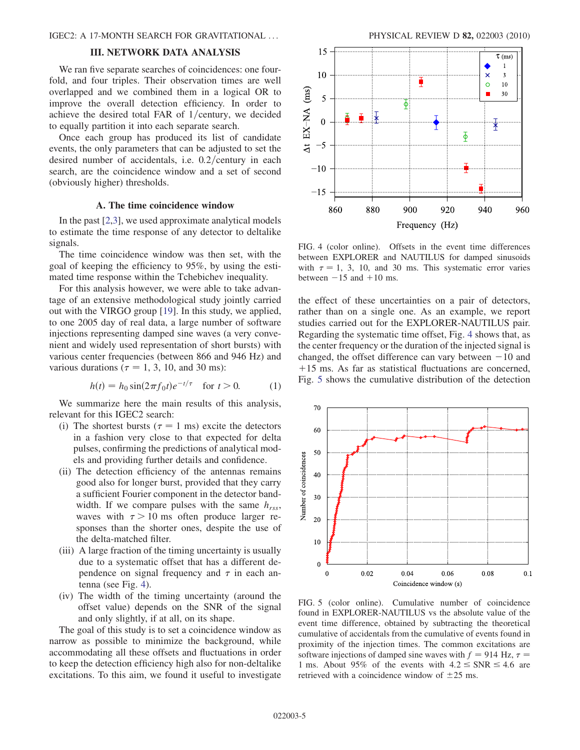#### III. NETWORK DATA ANALYSIS

We ran five separate searches of coincidences: one fourfold, and four triples. Their observation times are well overlapped and we combined them in a logical OR to improve the overall detection efficiency. In order to achieve the desired total FAR of  $1/c$ entury, we decided to equally partition it into each separate search.

Once each group has produced its list of candidate events, the only parameters that can be adjusted to set the desired number of accidentals, i.e.  $0.2$ /century in each search, are the coincidence window and a set of second (obviously higher) thresholds.

#### A. The time coincidence window

In the past [\[2,](#page-10-1)[3](#page-10-2)], we used approximate analytical models to estimate the time response of any detector to deltalike signals.

The time coincidence window was then set, with the goal of keeping the efficiency to 95%, by using the estimated time response within the Tchebichev inequality.

For this analysis however, we were able to take advantage of an extensive methodological study jointly carried out with the VIRGO group [[19](#page-10-17)]. In this study, we applied, to one 2005 day of real data, a large number of software injections representing damped sine waves (a very convenient and widely used representation of short bursts) with various center frequencies (between 866 and 946 Hz) and various durations ( $\tau = 1, 3, 10$ , and 30 ms):

$$
h(t) = h_0 \sin(2\pi f_0 t) e^{-t/\tau} \quad \text{for } t > 0. \tag{1}
$$

We summarize here the main results of this analysis, relevant for this IGEC2 search:

- (i) The shortest bursts ( $\tau = 1$  ms) excite the detectors in a fashion very close to that expected for delta pulses, confirming the predictions of analytical models and providing further details and confidence.
- (ii) The detection efficiency of the antennas remains good also for longer burst, provided that they carry a sufficient Fourier component in the detector bandwidth. If we compare pulses with the same  $h_{rss}$ , waves with  $\tau > 10$  ms often produce larger responses than the shorter ones, despite the use of the delta-matched filter.
- (iii) A large fraction of the timing uncertainty is usually due to a systematic offset that has a different dependence on signal frequency and  $\tau$  in each antenna (see Fig. [4\)](#page-6-0).
- (iv) The width of the timing uncertainty (around the offset value) depends on the SNR of the signal and only slightly, if at all, on its shape.

The goal of this study is to set a coincidence window as narrow as possible to minimize the background, while accommodating all these offsets and fluctuations in order to keep the detection efficiency high also for non-deltalike excitations. To this aim, we found it useful to investigate

<span id="page-6-0"></span>

FIG. 4 (color online). Offsets in the event time differences between EXPLORER and NAUTILUS for damped sinusoids with  $\tau = 1$ , 3, 10, and 30 ms. This systematic error varies between  $-15$  and  $+10$  ms.

the effect of these uncertainties on a pair of detectors, rather than on a single one. As an example, we report studies carried out for the EXPLORER-NAUTILUS pair. Regarding the systematic time offset, Fig. [4](#page-6-0) shows that, as the center frequency or the duration of the injected signal is changed, the offset difference can vary between  $-10$  and  $+15$  ms. As far as statistical fluctuations are concerned  $+15$  ms. As far as statistical fluctuations are concerned, Fig. [5](#page-6-1) shows the cumulative distribution of the detection

<span id="page-6-1"></span>

FIG. 5 (color online). Cumulative number of coincidence found in EXPLORER-NAUTILUS vs the absolute value of the event time difference, obtained by subtracting the theoretical cumulative of accidentals from the cumulative of events found in proximity of the injection times. The common excitations are software injections of damped sine waves with  $f = 914$  Hz,  $\tau =$ 1 ms. About 95% of the events with  $4.2 \leq SNR \leq 4.6$  are retrieved with a coincidence window of  $\pm 25$  ms.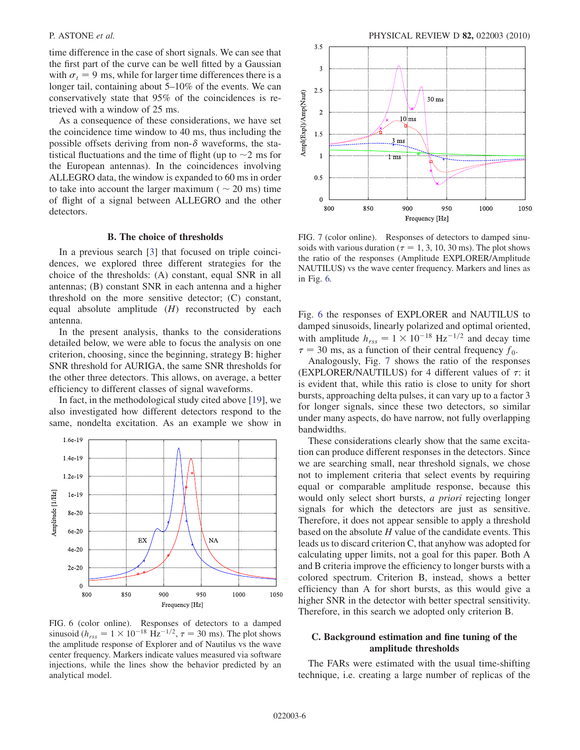time difference in the case of short signals. We can see that the first part of the curve can be well fitted by a Gaussian with  $\sigma_t = 9$  ms, while for larger time differences there is a longer tail, containing about 5–10% of the events. We can conservatively state that 95% of the coincidences is retrieved with a window of 25 ms.

As a consequence of these considerations, we have set the coincidence time window to 40 ms, thus including the possible offsets deriving from non- $\delta$  waveforms, the statistical fluctuations and the time of flight (up to  $\sim$ 2 ms for the European antennas). In the coincidences involving ALLEGRO data, the window is expanded to 60 ms in order to take into account the larger maximum ( $\sim$  20 ms) time of flight of a signal between ALLEGRO and the other detectors.

#### B. The choice of thresholds

In a previous search [\[3](#page-10-2)] that focused on triple coincidences, we explored three different strategies for the choice of the thresholds: (A) constant, equal SNR in all antennas; (B) constant SNR in each antenna and a higher threshold on the more sensitive detector; (C) constant, equal absolute amplitude  $(H)$  reconstructed by each antenna.

In the present analysis, thanks to the considerations detailed below, we were able to focus the analysis on one criterion, choosing, since the beginning, strategy B: higher SNR threshold for AURIGA, the same SNR thresholds for the other three detectors. This allows, on average, a better efficiency to different classes of signal waveforms.

In fact, in the methodological study cited above [[19](#page-10-17)], we also investigated how different detectors respond to the same, nondelta excitation. As an example we show in

<span id="page-7-0"></span>

FIG. 6 (color online). Responses of detectors to a damped sinusoid  $(h_{rss}=1\times10^{-18}$  Hz<sup>-1/2</sup>,  $\tau=30$  ms). The plot shows<br>the amplitude response of Explorer and of Nautilus vs the wave the amplitude response of Explorer and of Nautilus vs the wave center frequency. Markers indicate values measured via software injections, while the lines show the behavior predicted by an analytical model.

<span id="page-7-1"></span>

FIG. 7 (color online). Responses of detectors to damped sinusoids with various duration ( $\tau = 1, 3, 10, 30$  ms). The plot shows the ratio of the responses (Amplitude EXPLORER/Amplitude NAUTILUS) vs the wave center frequency. Markers and lines as in Fig. [6.](#page-7-0)

Fig. [6](#page-7-0) the responses of EXPLORER and NAUTILUS to damped sinusoids, linearly polarized and optimal oriented, with amplitude  $h_{rss} = 1 \times 10^{-18}$  Hz<sup>-1/2</sup> and decay time  $\tau = 30$  ms as a function of their central frequency  $f_0$  $\tau = 30$  ms, as a function of their central frequency  $f_0$ .

Analogously, Fig. [7](#page-7-1) shows the ratio of the responses (EXPLORER/NAUTILUS) for 4 different values of  $\tau$ : it is evident that, while this ratio is close to unity for short bursts, approaching delta pulses, it can vary up to a factor 3 for longer signals, since these two detectors, so similar under many aspects, do have narrow, not fully overlapping bandwidths.

These considerations clearly show that the same excitation can produce different responses in the detectors. Since we are searching small, near threshold signals, we chose not to implement criteria that select events by requiring equal or comparable amplitude response, because this would only select short bursts, a priori rejecting longer signals for which the detectors are just as sensitive. Therefore, it does not appear sensible to apply a threshold based on the absolute H value of the candidate events. This leads us to discard criterion C, that anyhow was adopted for calculating upper limits, not a goal for this paper. Both A and B criteria improve the efficiency to longer bursts with a colored spectrum. Criterion B, instead, shows a better efficiency than A for short bursts, as this would give a higher SNR in the detector with better spectral sensitivity. Therefore, in this search we adopted only criterion B.

### C. Background estimation and fine tuning of the amplitude thresholds

The FARs were estimated with the usual time-shifting technique, i.e. creating a large number of replicas of the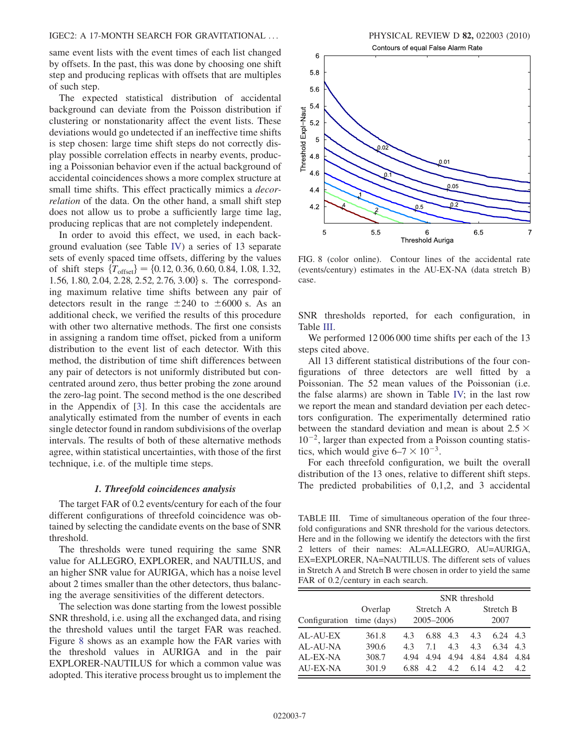same event lists with the event times of each list changed by offsets. In the past, this was done by choosing one shift step and producing replicas with offsets that are multiples of such step.

The expected statistical distribution of accidental background can deviate from the Poisson distribution if clustering or nonstationarity affect the event lists. These deviations would go undetected if an ineffective time shifts is step chosen: large time shift steps do not correctly display possible correlation effects in nearby events, producing a Poissonian behavior even if the actual background of accidental coincidences shows a more complex structure at small time shifts. This effect practically mimics a *decor*relation of the data. On the other hand, a small shift step does not allow us to probe a sufficiently large time lag, producing replicas that are not completely independent.

In order to avoid this effect, we used, in each background evaluation (see Table [IV\)](#page-9-0) a series of 13 separate sets of evenly spaced time offsets, differing by the values of shift steps  $\{T_{offset}\} = \{0.12, 0.36, 0.60, 0.84, 1.08, 1.32, ...\}$ 1.56, 1.80, 2.04, 2.28, 2.52, 2.76, 3.00} s. The corresponding maximum relative time shifts between any pair of detectors result in the range  $\pm 240$  to  $\pm 6000$  s. As an additional check, we verified the results of this procedure with other two alternative methods. The first one consists in assigning a random time offset, picked from a uniform distribution to the event list of each detector. With this method, the distribution of time shift differences between any pair of detectors is not uniformly distributed but concentrated around zero, thus better probing the zone around the zero-lag point. The second method is the one described in the Appendix of [\[3\]](#page-10-2). In this case the accidentals are analytically estimated from the number of events in each single detector found in random subdivisions of the overlap intervals. The results of both of these alternative methods agree, within statistical uncertainties, with those of the first technique, i.e. of the multiple time steps.

#### 1. Threefold coincidences analysis

The target FAR of 0.2 events/century for each of the four different configurations of threefold coincidence was obtained by selecting the candidate events on the base of SNR threshold.

The thresholds were tuned requiring the same SNR value for ALLEGRO, EXPLORER, and NAUTILUS, and an higher SNR value for AURIGA, which has a noise level about 2 times smaller than the other detectors, thus balancing the average sensitivities of the different detectors.

The selection was done starting from the lowest possible SNR threshold, i.e. using all the exchanged data, and rising the threshold values until the target FAR was reached. Figure [8](#page-8-0) shows as an example how the FAR varies with the threshold values in AURIGA and in the pair EXPLORER-NAUTILUS for which a common value was adopted. This iterative process brought us to implement the



<span id="page-8-0"></span>FIG. 8 (color online). Contour lines of the accidental rate (events/century) estimates in the AU-EX-NA (data stretch B) case.

SNR thresholds reported, for each configuration, in Table [III.](#page-8-1)

We performed  $12\,006\,000$  time shifts per each of the 13 steps cited above.

All 13 different statistical distributions of the four configurations of three detectors are well fitted by a Poissonian. The 52 mean values of the Poissonian (i.e. the false alarms) are shown in Table [IV;](#page-9-0) in the last row we report the mean and standard deviation per each detectors configuration. The experimentally determined ratio between the standard deviation and mean is about  $2.5 \times$  $10^{-2}$ , larger than expected from a Poisson counting statistics, which would give  $6-7 \times 10^{-3}$ .<br>For each threefold configuration

For each threefold configuration, we built the overall distribution of the 13 ones, relative to different shift steps. The predicted probabilities of 0,1,2, and 3 accidental

<span id="page-8-1"></span>TABLE III. Time of simultaneous operation of the four threefold configurations and SNR threshold for the various detectors. Here and in the following we identify the detectors with the first 2 letters of their names: AL=ALLEGRO, AU=AURIGA, EX=EXPLORER, NA=NAUTILUS. The different sets of values in Stretch A and Stretch B were chosen in order to yield the same FAR of  $0.2$ /century in each search.

|                           |         | SNR threshold |      |           |      |      |      |
|---------------------------|---------|---------------|------|-----------|------|------|------|
|                           | Overlap | Stretch A     |      | Stretch B |      |      |      |
| Configuration time (days) |         | $2005 - 2006$ |      | 2007      |      |      |      |
| AL-AU-EX                  | 361.8   | 43            | 6.88 | 4.3       | 4.3  | 6.24 | 4.3  |
| AL-AU-NA                  | 390.6   | 43            | 71   | 4.3       | 4.3  | 6.34 | 4.3  |
| AL-EX-NA                  | 308.7   | 4.94          | 4.94 | 4.94      | 4.84 | 4.84 | 4.84 |
| AU-EX-NA                  | 301.9   | 6.88          | 42   | 4.2       | 6.14 | 4.2. | 4.2. |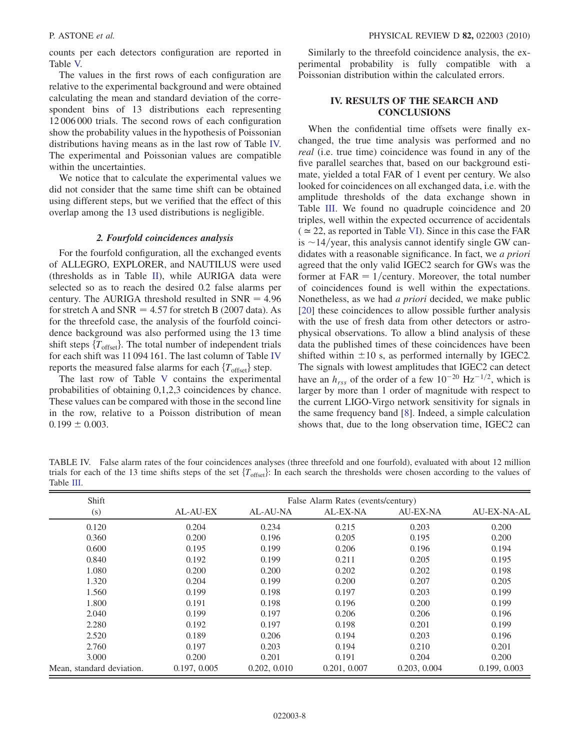counts per each detectors configuration are reported in Table [V.](#page-10-18)

The values in the first rows of each configuration are relative to the experimental background and were obtained calculating the mean and standard deviation of the correspondent bins of 13 distributions each representing 12 006 000 trials. The second rows of each configuration show the probability values in the hypothesis of Poissonian distributions having means as in the last row of Table [IV.](#page-9-0) The experimental and Poissonian values are compatible within the uncertainties.

We notice that to calculate the experimental values we did not consider that the same time shift can be obtained using different steps, but we verified that the effect of this overlap among the 13 used distributions is negligible.

#### 2. Fourfold coincidences analysis

For the fourfold configuration, all the exchanged events of ALLEGRO, EXPLORER, and NAUTILUS were used (thresholds as in Table [II\)](#page-5-1), while AURIGA data were selected so as to reach the desired 0.2 false alarms per century. The AURIGA threshold resulted in  $SNR = 4.96$ for stretch A and  $SNR = 4.57$  for stretch B (2007 data). As for the threefold case, the analysis of the fourfold coincidence background was also performed using the 13 time shift steps  $\{T_{\text{offset}}\}$ . The total number of independent trials for each shift was 11 094 161. The last column of Table [IV](#page-9-0) reports the measured false alarms for each  $\{T_{\text{offset}}\}$  step.

The last row of Table [V](#page-10-18) contains the experimental probabilities of obtaining 0,1,2,3 coincidences by chance. These values can be compared with those in the second line in the row, relative to a Poisson distribution of mean  $0.199 \pm 0.003$ .

Similarly to the threefold coincidence analysis, the experimental probability is fully compatible with a Poissonian distribution within the calculated errors.

# IV. RESULTS OF THE SEARCH AND **CONCLUSIONS**

When the confidential time offsets were finally exchanged, the true time analysis was performed and no real (i.e. true time) coincidence was found in any of the five parallel searches that, based on our background estimate, yielded a total FAR of 1 event per century. We also looked for coincidences on all exchanged data, i.e. with the amplitude thresholds of the data exchange shown in Table [III.](#page-8-1) We found no quadruple coincidence and 20 triples, well within the expected occurrence of accidentals  $( \simeq 22$ , as reported in Table [VI](#page-10-19)). Since in this case the FAR is  $\sim$ 14/year, this analysis cannot identify single GW candidates with a reasonable significance. In fact, we a priori agreed that the only valid IGEC2 search for GWs was the former at  $FAR = 1/c$ entury. Moreover, the total number of coincidences found is well within the expectations. Nonetheless, as we had a priori decided, we make public [\[20\]](#page-10-20) these coincidences to allow possible further analysis with the use of fresh data from other detectors or astrophysical observations. To allow a blind analysis of these data the published times of these coincidences have been shifted within  $\pm 10$  s, as performed internally by IGEC2. The signals with lowest amplitudes that IGEC2 can detect have an  $h_{rss}$  of the order of a few  $10^{-20}$   $\text{Hz}^{-1/2}$ , which is larger by more than 1 order of magnitude with respect to the current LIGO-Virgo network sensitivity for signals in the same frequency band [[8](#page-10-6)]. Indeed, a simple calculation shows that, due to the long observation time, IGEC2 can

<span id="page-9-0"></span>TABLE IV. False alarm rates of the four coincidences analyses (three threefold and one fourfold), evaluated with about 12 million trials for each of the 13 time shifts steps of the set  $\{T_{\text{offset}}\}$ : In each search the thresholds were chosen according to the values of Table [III](#page-8-1).

| Shift                     | False Alarm Rates (events/century) |              |              |                 |                    |
|---------------------------|------------------------------------|--------------|--------------|-----------------|--------------------|
| (s)                       | AL-AU-EX                           | AL-AU-NA     | AL-EX-NA     | <b>AU-EX-NA</b> | <b>AU-EX-NA-AL</b> |
| 0.120                     | 0.204                              | 0.234        | 0.215        | 0.203           | 0.200              |
| 0.360                     | 0.200                              | 0.196        | 0.205        | 0.195           | 0.200              |
| 0.600                     | 0.195                              | 0.199        | 0.206        | 0.196           | 0.194              |
| 0.840                     | 0.192                              | 0.199        | 0.211        | 0.205           | 0.195              |
| 1.080                     | 0.200                              | 0.200        | 0.202        | 0.202           | 0.198              |
| 1.320                     | 0.204                              | 0.199        | 0.200        | 0.207           | 0.205              |
| 1.560                     | 0.199                              | 0.198        | 0.197        | 0.203           | 0.199              |
| 1.800                     | 0.191                              | 0.198        | 0.196        | 0.200           | 0.199              |
| 2.040                     | 0.199                              | 0.197        | 0.206        | 0.206           | 0.196              |
| 2.280                     | 0.192                              | 0.197        | 0.198        | 0.201           | 0.199              |
| 2.520                     | 0.189                              | 0.206        | 0.194        | 0.203           | 0.196              |
| 2.760                     | 0.197                              | 0.203        | 0.194        | 0.210           | 0.201              |
| 3.000                     | 0.200                              | 0.201        | 0.191        | 0.204           | 0.200              |
| Mean, standard deviation. | 0.197, 0.005                       | 0.202, 0.010 | 0.201, 0.007 | 0.203, 0.004    | 0.199, 0.003       |